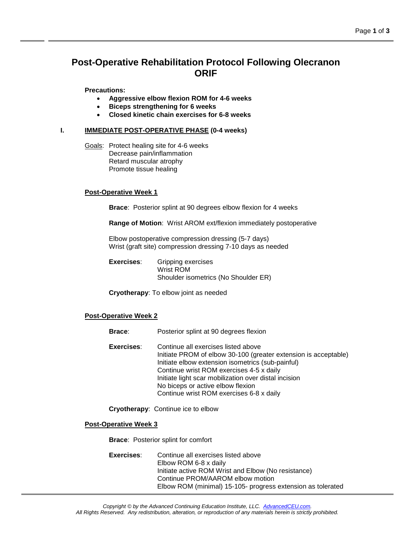# **Post-Operative Rehabilitation Protocol Following Olecranon ORIF**

**Precautions:**

- **Aggressive elbow flexion ROM for 4-6 weeks**
- **Biceps strengthening for 6 weeks**
- **Closed kinetic chain exercises for 6-8 weeks**

#### **I. IMMEDIATE POST-OPERATIVE PHASE (0-4 weeks)**

Goals: Protect healing site for 4-6 weeks Decrease pain/inflammation Retard muscular atrophy Promote tissue healing

#### **Post-Operative Week 1**

**Brace**: Posterior splint at 90 degrees elbow flexion for 4 weeks

**Range of Motion**: Wrist AROM ext/flexion immediately postoperative

Elbow postoperative compression dressing (5-7 days) Wrist (graft site) compression dressing 7-10 days as needed

**Exercises**: Gripping exercises Wrist ROM Shoulder isometrics (No Shoulder ER)

**Cryotherapy**: To elbow joint as needed

#### **Post-Operative Week 2**

- **Brace**: Posterior splint at 90 degrees flexion **Exercises**: Continue all exercises listed above Initiate PROM of elbow 30-100 (greater extension is acceptable) Initiate elbow extension isometrics (sub-painful)
	- Continue wrist ROM exercises 4-5 x daily Initiate light scar mobilization over distal incision No biceps or active elbow flexion Continue wrist ROM exercises 6-8 x daily

**Cryotherapy**: Continue ice to elbow

#### **Post-Operative Week 3**

**Brace**: Posterior splint for comfort

**Exercises**: Continue all exercises listed above Elbow ROM 6-8 x daily Initiate active ROM Wrist and Elbow (No resistance) Continue PROM/AAROM elbow motion Elbow ROM (minimal) 15-105- progress extension as tolerated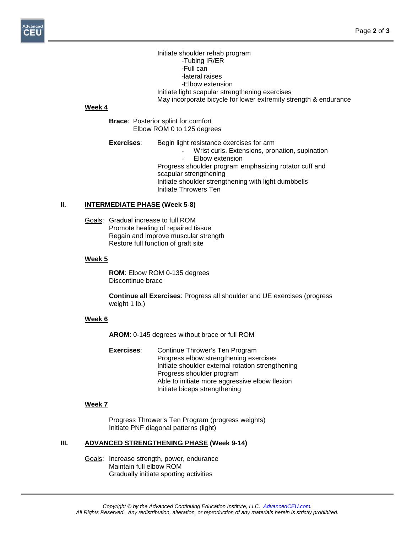Initiate shoulder rehab program -Tubing IR/ER -Full can -lateral raises -Elbow extension Initiate light scapular strengthening exercises May incorporate bicycle for lower extremity strength & endurance

#### **Week 4**

**Brace**: Posterior splint for comfort Elbow ROM 0 to 125 degrees

**Exercises:** Begin light resistance exercises for arm Wrist curls. Extensions, pronation, supination Elbow extension Progress shoulder program emphasizing rotator cuff and scapular strengthening Initiate shoulder strengthening with light dumbbells Initiate Throwers Ten

#### **II. INTERMEDIATE PHASE (Week 5-8)**

Goals: Gradual increase to full ROM Promote healing of repaired tissue Regain and improve muscular strength Restore full function of graft site

#### **Week 5**

**ROM**: Elbow ROM 0-135 degrees Discontinue brace

**Continue all Exercises**: Progress all shoulder and UE exercises (progress weight 1 lb.)

#### **Week 6**

**AROM**: 0-145 degrees without brace or full ROM

**Exercises**: Continue Thrower's Ten Program Progress elbow strengthening exercises Initiate shoulder external rotation strengthening Progress shoulder program Able to initiate more aggressive elbow flexion Initiate biceps strengthening

# **Week 7**

Progress Thrower's Ten Program (progress weights) Initiate PNF diagonal patterns (light)

#### **III. ADVANCED STRENGTHENING PHASE (Week 9-14)**

Goals: Increase strength, power, endurance Maintain full elbow ROM Gradually initiate sporting activities